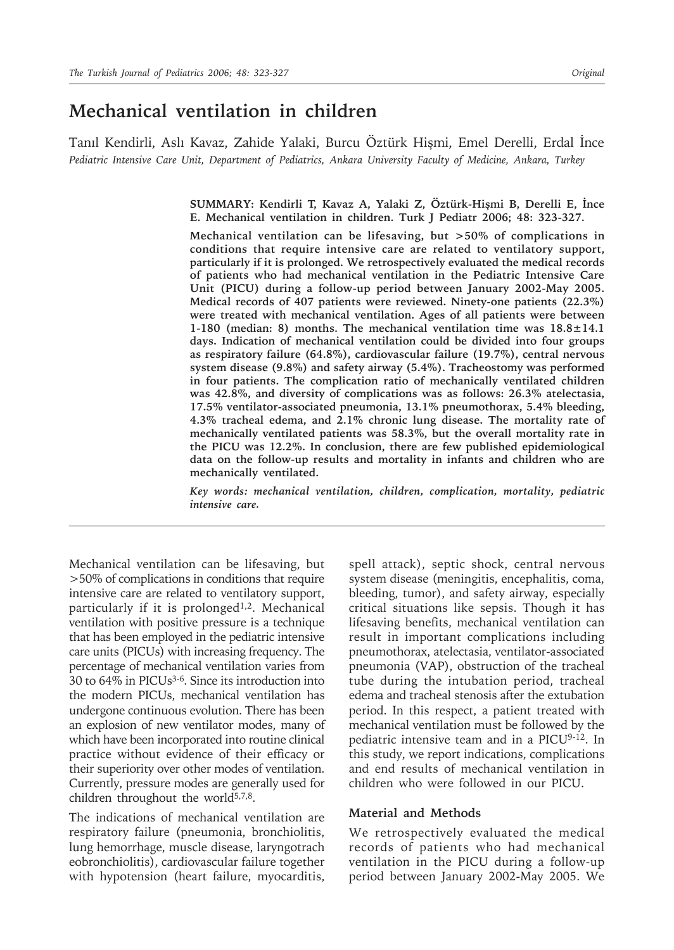# **Mechanical ventilation in children**

Tanıl Kendirli, Aslı Kavaz, Zahide Yalaki, Burcu Öztürk Hişmi, Emel Derelli, Erdal İnce *Pediatric Intensive Care Unit, Department of Pediatrics, Ankara University Faculty of Medicine, Ankara, Turkey*

> **SUMMARY: Kendirli T, Kavaz A, Yalaki Z, Öztürk-Hişmi B, Derelli E, İnce E. Mechanical ventilation in children. Turk J Pediatr 2006; 48: 323-327.**

> **Mechanical ventilation can be lifesaving, but >50% of complications in conditions that require intensive care are related to ventilatory support, particularly if it is prolonged. We retrospectively evaluated the medical records of patients who had mechanical ventilation in the Pediatric Intensive Care Unit (PICU) during a follow-up period between January 2002-May 2005. Medical records of 407 patients were reviewed. Ninety-one patients (22.3%) were treated with mechanical ventilation. Ages of all patients were between 1-180 (median: 8) months. The mechanical ventilation time was 18.8±14.1 days. Indication of mechanical ventilation could be divided into four groups as respiratory failure (64.8%), cardiovascular failure (19.7%), central nervous system disease (9.8%) and safety airway (5.4%). Tracheostomy was performed in four patients. The complication ratio of mechanically ventilated children was 42.8%, and diversity of complications was as follows: 26.3% atelectasia, 17.5% ventilator-associated pneumonia, 13.1% pneumothorax, 5.4% bleeding, 4.3% tracheal edema, and 2.1% chronic lung disease. The mortality rate of mechanically ventilated patients was 58.3%, but the overall mortality rate in the PICU was 12.2%. In conclusion, there are few published epidemiological data on the follow-up results and mortality in infants and children who are mechanically ventilated.**

> *Key words: mechanical ventilation, children, complication, mortality, pediatric intensive care.*

Mechanical ventilation can be lifesaving, but >50% of complications in conditions that require intensive care are related to ventilatory support, particularly if it is prolonged<sup>1,2</sup>. Mechanical ventilation with positive pressure is a technique that has been employed in the pediatric intensive care units (PICUs) with increasing frequency. The percentage of mechanical ventilation varies from 30 to 64% in PICUs3-6. Since its introduction into the modern PICUs, mechanical ventilation has undergone continuous evolution. There has been an explosion of new ventilator modes, many of which have been incorporated into routine clinical practice without evidence of their efficacy or their superiority over other modes of ventilation. Currently, pressure modes are generally used for children throughout the world $5,7,8$ .

The indications of mechanical ventilation are respiratory failure (pneumonia, bronchiolitis, lung hemorrhage, muscle disease, laryngotrach eobronchiolitis), cardiovascular failure together with hypotension (heart failure, myocarditis, spell attack), septic shock, central nervous system disease (meningitis, encephalitis, coma, bleeding, tumor), and safety airway, especially critical situations like sepsis. Though it has lifesaving benefits, mechanical ventilation can result in important complications including pneumothorax, atelectasia, ventilator-associated pneumonia (VAP), obstruction of the tracheal tube during the intubation period, tracheal edema and tracheal stenosis after the extubation period. In this respect, a patient treated with mechanical ventilation must be followed by the pediatric intensive team and in a PICU9-12. In this study, we report indications, complications and end results of mechanical ventilation in children who were followed in our PICU.

#### **Material and Methods**

We retrospectively evaluated the medical records of patients who had mechanical ventilation in the PICU during a follow-up period between January 2002-May 2005. We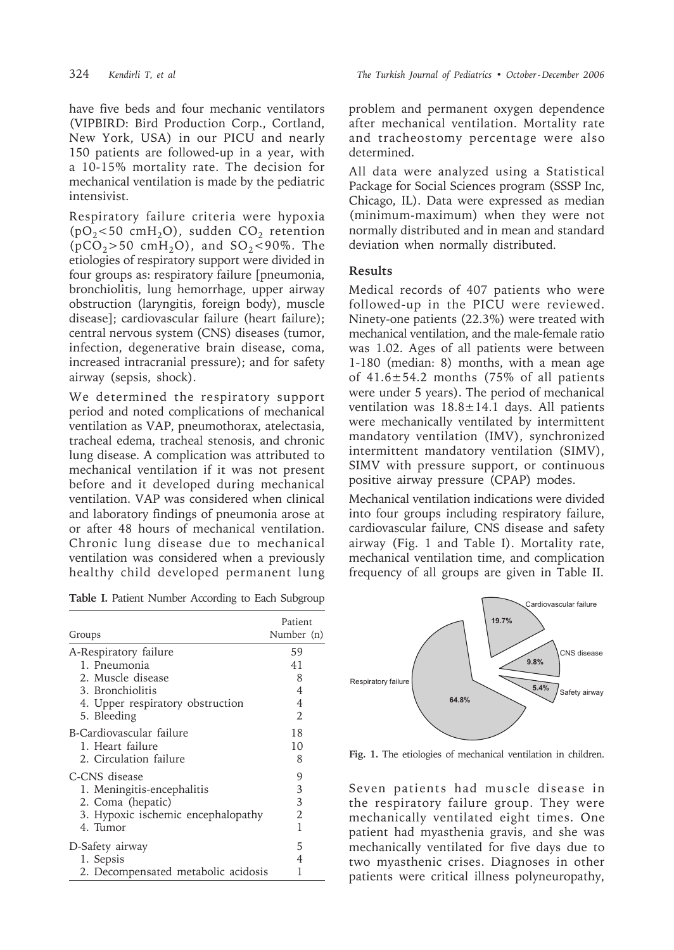have five beds and four mechanic ventilators (VIPBIRD: Bird Production Corp., Cortland, New York, USA) in our PICU and nearly 150 patients are followed-up in a year, with a 10-15% mortality rate. The decision for mechanical ventilation is made by the pediatric intensivist.

Respiratory failure criteria were hypoxia ( $pO<sub>2</sub>$ <50 cmH<sub>2</sub>O), sudden CO<sub>2</sub> retention  $(pCO<sub>2</sub>>50 cmH<sub>2</sub>O)$ , and  $SO<sub>2</sub> < 90\%$ . The etiologies of respiratory support were divided in four groups as: respiratory failure [pneumonia, bronchiolitis, lung hemorrhage, upper airway obstruction (laryngitis, foreign body), muscle disease]; cardiovascular failure (heart failure); central nervous system (CNS) diseases (tumor, infection, degenerative brain disease, coma, increased intracranial pressure); and for safety airway (sepsis, shock).

We determined the respiratory support period and noted complications of mechanical ventilation as VAP, pneumothorax, atelectasia, tracheal edema, tracheal stenosis, and chronic lung disease. A complication was attributed to mechanical ventilation if it was not present before and it developed during mechanical ventilation. VAP was considered when clinical and laboratory findings of pneumonia arose at or after 48 hours of mechanical ventilation. Chronic lung disease due to mechanical ventilation was considered when a previously healthy child developed permanent lung

**Table I.** Patient Number According to Each Subgroup

|                                     | Patient        |  |
|-------------------------------------|----------------|--|
| Groups                              | Number (n)     |  |
| A-Respiratory failure               | 59             |  |
| 1. Pneumonia                        | 41             |  |
| 2. Muscle disease                   | 8              |  |
| 3. Bronchiolitis                    | 4              |  |
| 4. Upper respiratory obstruction    | 4              |  |
| 5. Bleeding                         | $\mathfrak{D}$ |  |
| B-Cardiovascular failure            | 18             |  |
| 1. Heart failure                    | 10             |  |
| 2. Circulation failure              | 8              |  |
| C-CNS disease                       | 9              |  |
| 1. Meningitis-encephalitis          | 3              |  |
| 2. Coma (hepatic)                   | 3              |  |
| 3. Hypoxic ischemic encephalopathy  | 2              |  |
| 4. Tumor                            | 1              |  |
| D-Safety airway                     | 5              |  |
| 1. Sepsis                           | 4              |  |
| 2. Decompensated metabolic acidosis | 1              |  |

problem and permanent oxygen dependence after mechanical ventilation. Mortality rate and tracheostomy percentage were also determined.

All data were analyzed using a Statistical Package for Social Sciences program (SSSP Inc, Chicago, IL). Data were expressed as median (minimum-maximum) when they were not normally distributed and in mean and standard deviation when normally distributed.

## **Results**

Medical records of 407 patients who were followed-up in the PICU were reviewed. Ninety-one patients (22.3%) were treated with mechanical ventilation, and the male-female ratio was 1.02. Ages of all patients were between 1-180 (median: 8) months, with a mean age of  $41.6 \pm 54.2$  months (75% of all patients were under 5 years). The period of mechanical ventilation was  $18.8 \pm 14.1$  days. All patients were mechanically ventilated by intermittent mandatory ventilation (IMV), synchronized intermittent mandatory ventilation (SIMV), SIMV with pressure support, or continuous positive airway pressure (CPAP) modes.

Mechanical ventilation indications were divided into four groups including respiratory failure, cardiovascular failure, CNS disease and safety airway (Fig. 1 and Table I). Mortality rate, mechanical ventilation time, and complication frequency of all groups are given in Table II.



**Fig. 1.** The etiologies of mechanical ventilation in children.

Seven patients had muscle disease in the respiratory failure group. They were mechanically ventilated eight times. One patient had myasthenia gravis, and she was mechanically ventilated for five days due to two myasthenic crises. Diagnoses in other patients were critical illness polyneuropathy,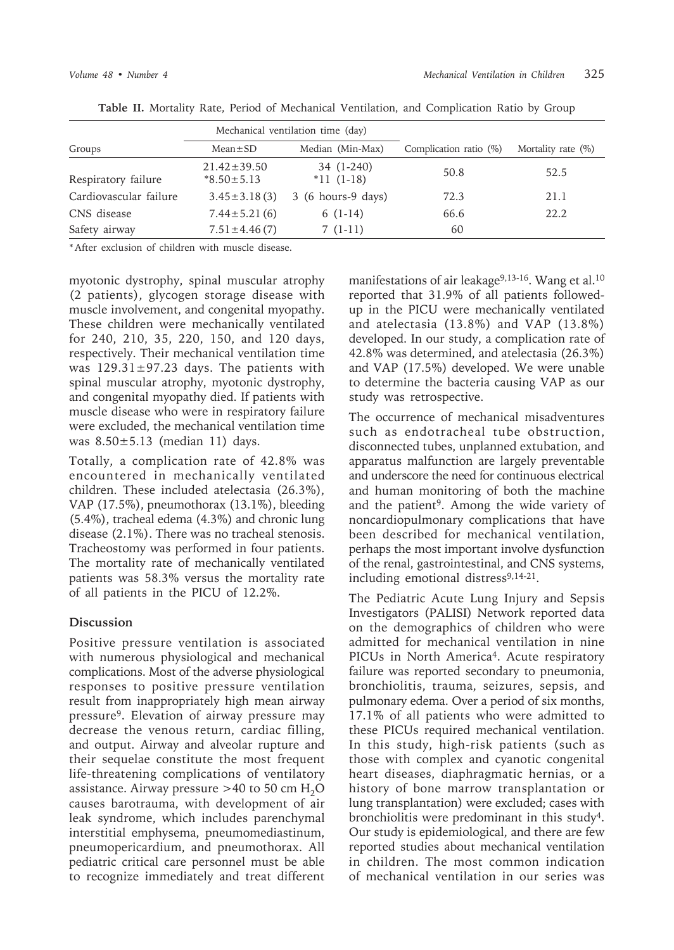|                        | Mechanical ventilation time (day)     |                                     |                           |                    |  |
|------------------------|---------------------------------------|-------------------------------------|---------------------------|--------------------|--|
| Groups                 | $Mean \pm SD$                         | Median (Min-Max)                    | Complication ratio $(\%)$ | Mortality rate (%) |  |
| Respiratory failure    | $21.42 \pm 39.50$<br>$*8.50 \pm 5.13$ | 34 (1-240)<br>$*11(1-18)$           | 50.8                      | 52.5               |  |
| Cardiovascular failure | $3.45 \pm 3.18(3)$                    | $3(6 \text{ hours-}9 \text{ days})$ | 72.3                      | 21.1               |  |
| CNS disease            | $7.44 \pm 5.21(6)$                    | $6(1-14)$                           | 66.6                      | 22.2               |  |
| Safety airway          | $7.51 \pm 4.46(7)$                    | $7(1-11)$                           | 60                        |                    |  |

**Table II.** Mortality Rate, Period of Mechanical Ventilation, and Complication Ratio by Group

\* After exclusion of children with muscle disease.

myotonic dystrophy, spinal muscular atrophy (2 patients), glycogen storage disease with muscle involvement, and congenital myopathy. These children were mechanically ventilated for 240, 210, 35, 220, 150, and 120 days, respectively. Their mechanical ventilation time was  $129.31 \pm 97.23$  days. The patients with spinal muscular atrophy, myotonic dystrophy, and congenital myopathy died. If patients with muscle disease who were in respiratory failure were excluded, the mechanical ventilation time was  $8.50 \pm 5.13$  (median 11) days.

Totally, a complication rate of 42.8% was encountered in mechanically ventilated children. These included atelectasia (26.3%), VAP (17.5%), pneumothorax (13.1%), bleeding (5.4%), tracheal edema (4.3%) and chronic lung disease (2.1%). There was no tracheal stenosis. Tracheostomy was performed in four patients. The mortality rate of mechanically ventilated patients was 58.3% versus the mortality rate of all patients in the PICU of 12.2%.

## **Discussion**

Positive pressure ventilation is associated with numerous physiological and mechanical complications. Most of the adverse physiological responses to positive pressure ventilation result from inappropriately high mean airway pressure9. Elevation of airway pressure may decrease the venous return, cardiac filling, and output. Airway and alveolar rupture and their sequelae constitute the most frequent life-threatening complications of ventilatory assistance. Airway pressure >40 to 50 cm  $H_2O$ causes barotrauma, with development of air leak syndrome, which includes parenchymal interstitial emphysema, pneumomediastinum, pneumopericardium, and pneumothorax. All pediatric critical care personnel must be able to recognize immediately and treat different manifestations of air leakage<sup>9,13-16</sup>. Wang et al.<sup>10</sup> reported that 31.9% of all patients followedup in the PICU were mechanically ventilated and atelectasia (13.8%) and VAP (13.8%) developed. In our study, a complication rate of 42.8% was determined, and atelectasia (26.3%) and VAP (17.5%) developed. We were unable to determine the bacteria causing VAP as our study was retrospective.

The occurrence of mechanical misadventures such as endotracheal tube obstruction, disconnected tubes, unplanned extubation, and apparatus malfunction are largely preventable and underscore the need for continuous electrical and human monitoring of both the machine and the patient<sup>9</sup>. Among the wide variety of noncardiopulmonary complications that have been described for mechanical ventilation, perhaps the most important involve dysfunction of the renal, gastrointestinal, and CNS systems, including emotional distress<sup>9,14-21</sup>.

The Pediatric Acute Lung Injury and Sepsis Investigators (PALISI) Network reported data on the demographics of children who were admitted for mechanical ventilation in nine PICUs in North America<sup>4</sup>. Acute respiratory failure was reported secondary to pneumonia, bronchiolitis, trauma, seizures, sepsis, and pulmonary edema. Over a period of six months, 17.1% of all patients who were admitted to these PICUs required mechanical ventilation. In this study, high-risk patients (such as those with complex and cyanotic congenital heart diseases, diaphragmatic hernias, or a history of bone marrow transplantation or lung transplantation) were excluded; cases with bronchiolitis were predominant in this study4. Our study is epidemiological, and there are few reported studies about mechanical ventilation in children. The most common indication of mechanical ventilation in our series was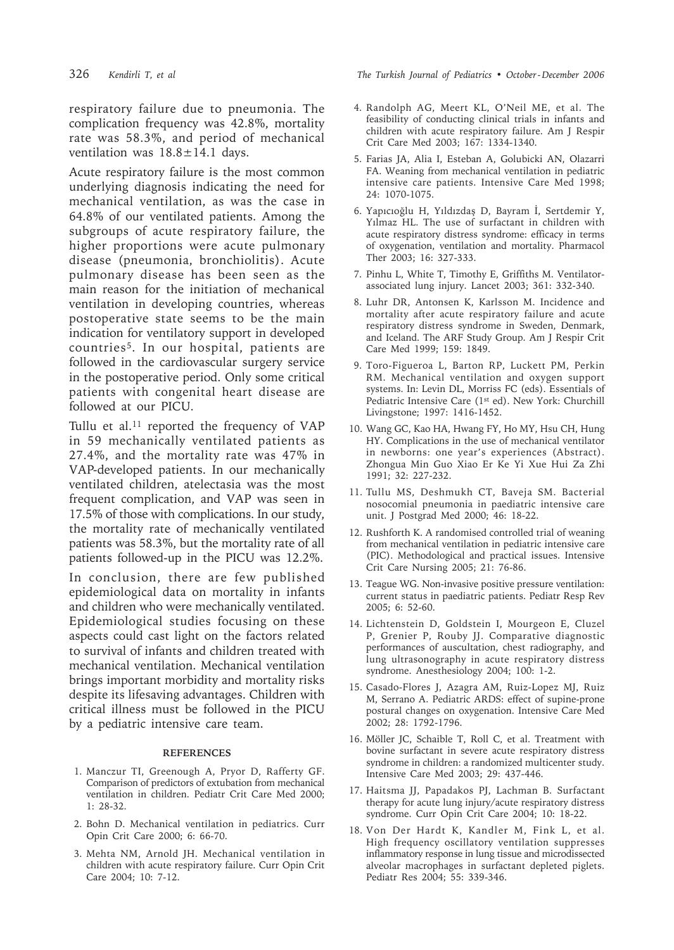respiratory failure due to pneumonia. The complication frequency was 42.8%, mortality rate was 58.3%, and period of mechanical ventilation was  $18.8 \pm 14.1$  days.

Acute respiratory failure is the most common underlying diagnosis indicating the need for mechanical ventilation, as was the case in 64.8% of our ventilated patients. Among the subgroups of acute respiratory failure, the higher proportions were acute pulmonary disease (pneumonia, bronchiolitis). Acute pulmonary disease has been seen as the main reason for the initiation of mechanical ventilation in developing countries, whereas postoperative state seems to be the main indication for ventilatory support in developed countries5. In our hospital, patients are followed in the cardiovascular surgery service in the postoperative period. Only some critical patients with congenital heart disease are followed at our PICU.

Tullu et al.<sup>11</sup> reported the frequency of VAP in 59 mechanically ventilated patients as 27.4%, and the mortality rate was 47% in VAP-developed patients. In our mechanically ventilated children, atelectasia was the most frequent complication, and VAP was seen in 17.5% of those with complications. In our study, the mortality rate of mechanically ventilated patients was 58.3%, but the mortality rate of all patients followed-up in the PICU was 12.2%.

In conclusion, there are few published epidemiological data on mortality in infants and children who were mechanically ventilated. Epidemiological studies focusing on these aspects could cast light on the factors related to survival of infants and children treated with mechanical ventilation. Mechanical ventilation brings important morbidity and mortality risks despite its lifesaving advantages. Children with critical illness must be followed in the PICU by a pediatric intensive care team.

#### **REFERENCES**

- 1. Manczur TI, Greenough A, Pryor D, Rafferty GF. Comparison of predictors of extubation from mechanical ventilation in children. Pediatr Crit Care Med 2000; 1: 28-32.
- 2. Bohn D. Mechanical ventilation in pediatrics. Curr Opin Crit Care 2000; 6: 66-70.
- 3. Mehta NM, Arnold JH. Mechanical ventilation in children with acute respiratory failure. Curr Opin Crit Care 2004; 10: 7-12.

326 *Kendirli T, et al The Turkish Journal of Pediatrics • October - December 2006*

- 4. Randolph AG, Meert KL, O'Neil ME, et al. The feasibility of conducting clinical trials in infants and children with acute respiratory failure. Am J Respir Crit Care Med 2003; 167: 1334-1340.
- 5. Farias JA, Alia I, Esteban A, Golubicki AN, Olazarri FA. Weaning from mechanical ventilation in pediatric intensive care patients. Intensive Care Med 1998; 24: 1070-1075.
- 6. Yapıcıoğlu H, Yıldızdaş D, Bayram İ, Sertdemir Y, Yılmaz HL. The use of surfactant in children with acute respiratory distress syndrome: efficacy in terms of oxygenation, ventilation and mortality. Pharmacol Ther 2003; 16: 327-333.
- 7. Pinhu L, White T, Timothy E, Griffiths M. Ventilatorassociated lung injury. Lancet 2003; 361: 332-340.
- 8. Luhr DR, Antonsen K, Karlsson M. Incidence and mortality after acute respiratory failure and acute respiratory distress syndrome in Sweden, Denmark, and Iceland. The ARF Study Group. Am J Respir Crit Care Med 1999; 159: 1849.
- 9. Toro-Figueroa L, Barton RP, Luckett PM, Perkin RM. Mechanical ventilation and oxygen support systems. In: Levin DL, Morriss FC (eds). Essentials of Pediatric Intensive Care (1<sup>st</sup> ed). New York: Churchill Livingstone; 1997: 1416-1452.
- 10. Wang GC, Kao HA, Hwang FY, Ho MY, Hsu CH, Hung HY. Complications in the use of mechanical ventilator in newborns: one year's experiences (Abstract). Zhongua Min Guo Xiao Er Ke Yi Xue Hui Za Zhi 1991; 32: 227-232.
- 11. Tullu MS, Deshmukh CT, Baveja SM. Bacterial nosocomial pneumonia in paediatric intensive care unit. J Postgrad Med 2000; 46: 18-22.
- 12. Rushforth K. A randomised controlled trial of weaning from mechanical ventilation in pediatric intensive care (PIC). Methodological and practical issues. Intensive Crit Care Nursing 2005; 21: 76-86.
- 13. Teague WG. Non-invasive positive pressure ventilation: current status in paediatric patients. Pediatr Resp Rev 2005; 6: 52-60.
- 14. Lichtenstein D, Goldstein I, Mourgeon E, Cluzel P, Grenier P, Rouby JJ. Comparative diagnostic performances of auscultation, chest radiography, and lung ultrasonography in acute respiratory distress syndrome. Anesthesiology 2004; 100: 1-2.
- 15. Casado-Flores J, Azagra AM, Ruiz-Lopez MJ, Ruiz M, Serrano A. Pediatric ARDS: effect of supine-prone postural changes on oxygenation. Intensive Care Med 2002; 28: 1792-1796.
- 16. Möller JC, Schaible T, Roll C, et al. Treatment with bovine surfactant in severe acute respiratory distress syndrome in children: a randomized multicenter study. Intensive Care Med 2003; 29: 437-446.
- 17. Haitsma JJ, Papadakos PJ, Lachman B. Surfactant therapy for acute lung injury/acute respiratory distress syndrome. Curr Opin Crit Care 2004; 10: 18-22.
- 18. Von Der Hardt K, Kandler M, Fink L, et al. High frequency oscillatory ventilation suppresses inflammatory response in lung tissue and microdissected alveolar macrophages in surfactant depleted piglets. Pediatr Res 2004; 55: 339-346.